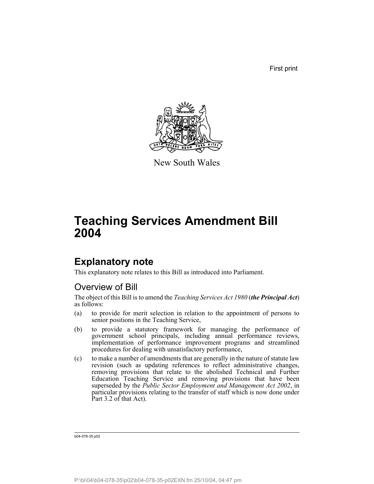First print



New South Wales

# **Teaching Services Amendment Bill 2004**

# **Explanatory note**

This explanatory note relates to this Bill as introduced into Parliament.

# Overview of Bill

The object of this Bill is to amend the *Teaching Services Act 1980* (*the Principal Act*) as follows:

- (a) to provide for merit selection in relation to the appointment of persons to senior positions in the Teaching Service,
- (b) to provide a statutory framework for managing the performance of government school principals, including annual performance reviews, implementation of performance improvement programs and streamlined procedures for dealing with unsatisfactory performance,
- (c) to make a number of amendments that are generally in the nature of statute law revision (such as updating references to reflect administrative changes, removing provisions that relate to the abolished Technical and Further Education Teaching Service and removing provisions that have been superseded by the *Public Sector Employment and Management Act 2002*, in particular provisions relating to the transfer of staff which is now done under Part 3.2 of that Act).

b04-078-35.p02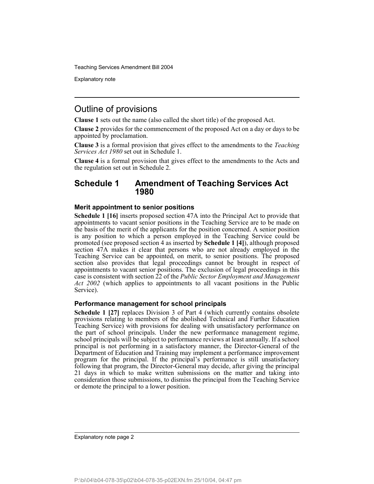Explanatory note

## Outline of provisions

**Clause 1** sets out the name (also called the short title) of the proposed Act.

**Clause 2** provides for the commencement of the proposed Act on a day or days to be appointed by proclamation.

**Clause 3** is a formal provision that gives effect to the amendments to the *Teaching Services Act 1980* set out in Schedule 1.

**Clause 4** is a formal provision that gives effect to the amendments to the Acts and the regulation set out in Schedule 2.

## **Schedule 1 Amendment of Teaching Services Act 1980**

### **Merit appointment to senior positions**

**Schedule 1 [16]** inserts proposed section 47A into the Principal Act to provide that appointments to vacant senior positions in the Teaching Service are to be made on the basis of the merit of the applicants for the position concerned. A senior position is any position to which a person employed in the Teaching Service could be promoted (see proposed section 4 as inserted by **Schedule 1 [4]**), although proposed section 47A makes it clear that persons who are not already employed in the Teaching Service can be appointed, on merit, to senior positions. The proposed section also provides that legal proceedings cannot be brought in respect of appointments to vacant senior positions. The exclusion of legal proceedings in this case is consistent with section 22 of the *Public Sector Employment and Management Act 2002* (which applies to appointments to all vacant positions in the Public Service).

### **Performance management for school principals**

**Schedule 1 [27]** replaces Division 3 of Part 4 (which currently contains obsolete provisions relating to members of the abolished Technical and Further Education Teaching Service) with provisions for dealing with unsatisfactory performance on the part of school principals. Under the new performance management regime, school principals will be subject to performance reviews at least annually. If a school principal is not performing in a satisfactory manner, the Director-General of the Department of Education and Training may implement a performance improvement program for the principal. If the principal's performance is still unsatisfactory following that program, the Director-General may decide, after giving the principal 21 days in which to make written submissions on the matter and taking into consideration those submissions, to dismiss the principal from the Teaching Service or demote the principal to a lower position.

Explanatory note page 2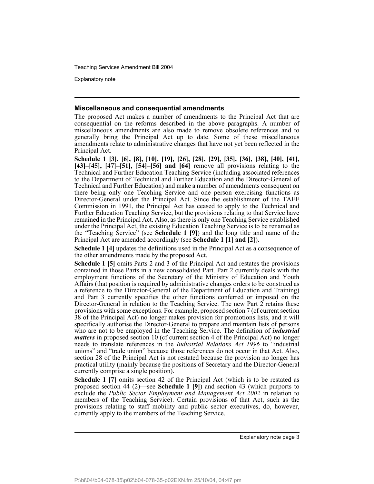Explanatory note

#### **Miscellaneous and consequential amendments**

The proposed Act makes a number of amendments to the Principal Act that are consequential on the reforms described in the above paragraphs. A number of miscellaneous amendments are also made to remove obsolete references and to generally bring the Principal Act up to date. Some of these miscellaneous amendments relate to administrative changes that have not yet been reflected in the Principal Act.

**Schedule 1 [3], [6], [8], [10], [19], [26], [28], [29], [35], [36], [38], [40], [41], [43]–[45], [47]–[51], [54]–[56] and [64]** remove all provisions relating to the Technical and Further Education Teaching Service (including associated references to the Department of Technical and Further Education and the Director-General of Technical and Further Education) and make a number of amendments consequent on there being only one Teaching Service and one person exercising functions as Director-General under the Principal Act. Since the establishment of the TAFE Commission in 1991, the Principal Act has ceased to apply to the Technical and Further Education Teaching Service, but the provisions relating to that Service have remained in the Principal Act. Also, as there is only one Teaching Service established under the Principal Act, the existing Education Teaching Service is to be renamed as the "Teaching Service" (see **Schedule 1 [9]**) and the long title and name of the Principal Act are amended accordingly (see **Schedule 1 [1] and [2]**).

**Schedule 1 [4]** updates the definitions used in the Principal Act as a consequence of the other amendments made by the proposed Act.

**Schedule 1 [5]** omits Parts 2 and 3 of the Principal Act and restates the provisions contained in those Parts in a new consolidated Part. Part 2 currently deals with the employment functions of the Secretary of the Ministry of Education and Youth Affairs (that position is required by administrative changes orders to be construed as a reference to the Director-General of the Department of Education and Training) and Part 3 currently specifies the other functions conferred or imposed on the Director-General in relation to the Teaching Service. The new Part 2 retains these provisions with some exceptions. For example, proposed section 7 (cf current section 38 of the Principal Act) no longer makes provision for promotions lists, and it will specifically authorise the Director-General to prepare and maintain lists of persons who are not to be employed in the Teaching Service. The definition of *industrial matters* in proposed section 10 (cf current section 4 of the Principal Act) no longer needs to translate references in the *Industrial Relations Act 1996* to "industrial unions" and "trade union" because those references do not occur in that Act. Also, section 28 of the Principal Act is not restated because the provision no longer has practical utility (mainly because the positions of Secretary and the Director-General currently comprise a single position).

**Schedule 1 [7]** omits section 42 of the Principal Act (which is to be restated as proposed section 44 (2)—see **Schedule 1 [9]**) and section 43 (which purports to exclude the *Public Sector Employment and Management Act 2002* in relation to members of the Teaching Service). Certain provisions of that Act, such as the provisions relating to staff mobility and public sector executives, do, however, currently apply to the members of the Teaching Service.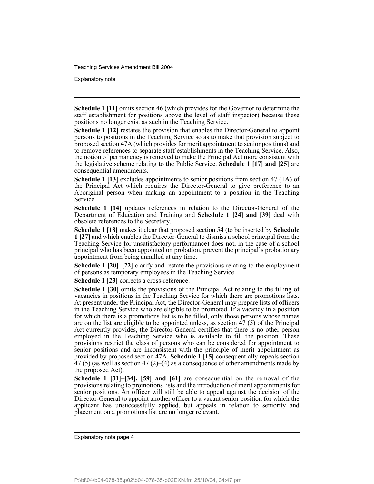Explanatory note

**Schedule 1 [11]** omits section 46 (which provides for the Governor to determine the staff establishment for positions above the level of staff inspector) because these positions no longer exist as such in the Teaching Service.

**Schedule 1 [12]** restates the provision that enables the Director-General to appoint persons to positions in the Teaching Service so as to make that provision subject to proposed section 47A (which provides for merit appointment to senior positions) and to remove references to separate staff establishments in the Teaching Service. Also, the notion of permanency is removed to make the Principal Act more consistent with the legislative scheme relating to the Public Service. **Schedule 1 [17] and [25]** are consequential amendments.

**Schedule 1 [13]** excludes appointments to senior positions from section 47 (1A) of the Principal Act which requires the Director-General to give preference to an Aboriginal person when making an appointment to a position in the Teaching Service.

**Schedule 1 [14]** updates references in relation to the Director-General of the Department of Education and Training and **Schedule 1 [24] and [39]** deal with obsolete references to the Secretary.

**Schedule 1 [18]** makes it clear that proposed section 54 (to be inserted by **Schedule 1 [27]** and which enables the Director-General to dismiss a school principal from the Teaching Service for unsatisfactory performance) does not, in the case of a school principal who has been appointed on probation, prevent the principal's probationary appointment from being annulled at any time.

**Schedule 1 [20]–[22]** clarify and restate the provisions relating to the employment of persons as temporary employees in the Teaching Service.

**Schedule 1 [23]** corrects a cross-reference.

**Schedule 1 [30]** omits the provisions of the Principal Act relating to the filling of vacancies in positions in the Teaching Service for which there are promotions lists. At present under the Principal Act, the Director-General may prepare lists of officers in the Teaching Service who are eligible to be promoted. If a vacancy in a position for which there is a promotions list is to be filled, only those persons whose names are on the list are eligible to be appointed unless, as section  $\frac{1}{4}7(5)$  of the Principal Act currently provides, the Director-General certifies that there is no other person employed in the Teaching Service who is available to fill the position. These provisions restrict the class of persons who can be considered for appointment to senior positions and are inconsistent with the principle of merit appointment as provided by proposed section 47A. **Schedule 1 [15]** consequentially repeals section  $47$  (5) (as well as section 47 (2)–(4) as a consequence of other amendments made by the proposed Act).

**Schedule 1 [31]–[34], [59] and [61]** are consequential on the removal of the provisions relating to promotions lists and the introduction of merit appointments for senior positions. An officer will still be able to appeal against the decision of the Director-General to appoint another officer to a vacant senior position for which the applicant has unsuccessfully applied, but appeals in relation to seniority and placement on a promotions list are no longer relevant.

Explanatory note page 4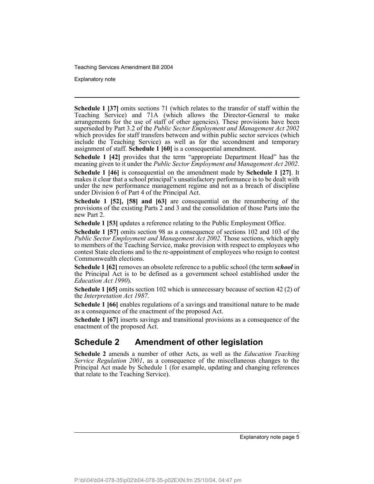Explanatory note

**Schedule 1 [37]** omits sections 71 (which relates to the transfer of staff within the Teaching Service) and 71A (which allows the Director-General to make arrangements for the use of staff of other agencies). These provisions have been superseded by Part 3.2 of the *Public Sector Employment and Management Act 2002* which provides for staff transfers between and within public sector services (which include the Teaching Service) as well as for the secondment and temporary assignment of staff. **Schedule 1 [60]** is a consequential amendment.

**Schedule 1 [42]** provides that the term "appropriate Department Head" has the meaning given to it under the *Public Sector Employment and Management Act 2002*.

**Schedule 1 [46]** is consequential on the amendment made by **Schedule 1 [27]**. It makes it clear that a school principal's unsatisfactory performance is to be dealt with under the new performance management regime and not as a breach of discipline under Division 6 of Part 4 of the Principal Act.

**Schedule 1 [52], [58] and [63]** are consequential on the renumbering of the provisions of the existing Parts 2 and 3 and the consolidation of those Parts into the new Part 2.

**Schedule 1 [53]** updates a reference relating to the Public Employment Office.

**Schedule 1 [57]** omits section 98 as a consequence of sections 102 and 103 of the *Public Sector Employment and Management Act 2002*. Those sections, which apply to members of the Teaching Service, make provision with respect to employees who contest State elections and to the re-appointment of employees who resign to contest Commonwealth elections.

**Schedule 1 [62]** removes an obsolete reference to a public school (the term *school* in the Principal Act is to be defined as a government school established under the *Education Act 1990*).

**Schedule 1 [65]** omits section 102 which is unnecessary because of section 42 (2) of the *Interpretation Act 1987*.

**Schedule 1 [66]** enables regulations of a savings and transitional nature to be made as a consequence of the enactment of the proposed Act.

**Schedule 1 [67]** inserts savings and transitional provisions as a consequence of the enactment of the proposed Act.

# **Schedule 2 Amendment of other legislation**

**Schedule 2** amends a number of other Acts, as well as the *Education Teaching Service Regulation 2001*, as a consequence of the miscellaneous changes to the Principal Act made by Schedule 1 (for example, updating and changing references that relate to the Teaching Service).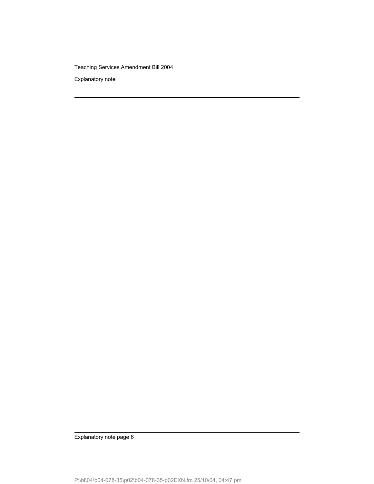Explanatory note

Explanatory note page 6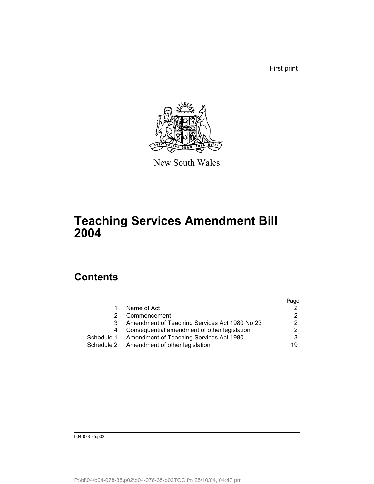First print



New South Wales

# **Teaching Services Amendment Bill 2004**

# **Contents**

|            |                                               | Page |
|------------|-----------------------------------------------|------|
|            | Name of Act                                   |      |
|            | Commencement                                  |      |
|            | Amendment of Teaching Services Act 1980 No 23 | າ    |
|            | Consequential amendment of other legislation  |      |
| Schedule 1 | Amendment of Teaching Services Act 1980       |      |
| Schedule 2 | Amendment of other legislation                | 19   |
|            |                                               |      |

b04-078-35.p02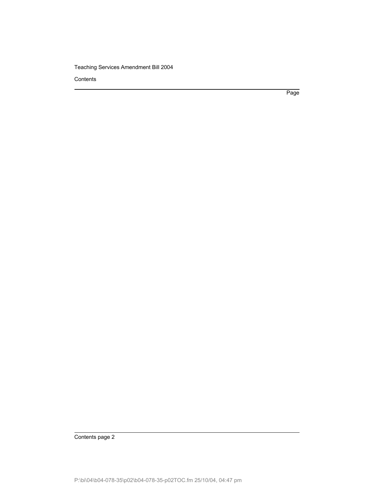**Contents** 

Page

Contents page 2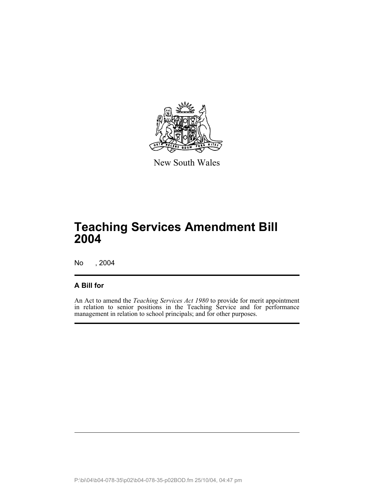

New South Wales

No , 2004

## **A Bill for**

An Act to amend the *Teaching Services Act 1980* to provide for merit appointment in relation to senior positions in the Teaching Service and for performance management in relation to school principals; and for other purposes.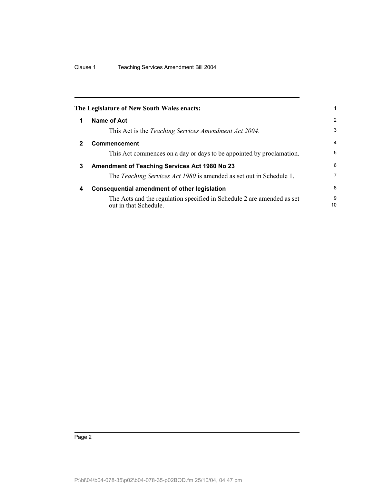|              | The Legislature of New South Wales enacts:                                                      |                |
|--------------|-------------------------------------------------------------------------------------------------|----------------|
| 1            | <b>Name of Act</b>                                                                              | 2              |
|              | This Act is the Teaching Services Amendment Act 2004.                                           | 3              |
| $\mathbf{2}$ | <b>Commencement</b>                                                                             | $\overline{4}$ |
|              | This Act commences on a day or days to be appointed by proclamation.                            | 5              |
| 3            | Amendment of Teaching Services Act 1980 No 23                                                   | 6              |
|              | The <i>Teaching Services Act 1980</i> is amended as set out in Schedule 1.                      | 7              |
| 4            | <b>Consequential amendment of other legislation</b>                                             | 8              |
|              | The Acts and the regulation specified in Schedule 2 are amended as set<br>out in that Schedule. | 9<br>10        |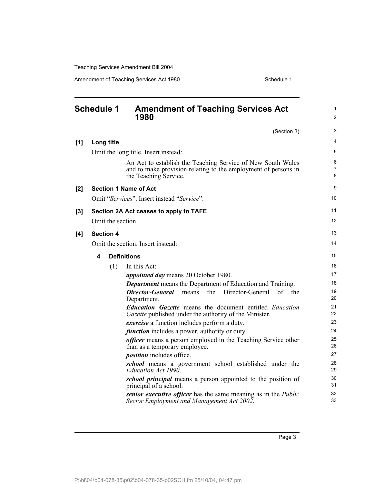Amendment of Teaching Services Act 1980 Schedule 1

|     | <b>Schedule 1</b> | <b>Amendment of Teaching Services Act</b><br>1980                                                                                                      | 1<br>2                   |
|-----|-------------------|--------------------------------------------------------------------------------------------------------------------------------------------------------|--------------------------|
|     |                   | (Section 3)                                                                                                                                            | 3                        |
| [1] | Long title        |                                                                                                                                                        | 4                        |
|     |                   | Omit the long title. Insert instead:                                                                                                                   | 5                        |
|     |                   | An Act to establish the Teaching Service of New South Wales<br>and to make provision relating to the employment of persons in<br>the Teaching Service. | 6<br>$\overline{7}$<br>8 |
| [2] |                   | <b>Section 1 Name of Act</b>                                                                                                                           | 9                        |
|     |                   | Omit "Services". Insert instead "Service".                                                                                                             | 10                       |
| [3] |                   | Section 2A Act ceases to apply to TAFE                                                                                                                 | 11                       |
|     | Omit the section. |                                                                                                                                                        | 12                       |
| [4] | <b>Section 4</b>  |                                                                                                                                                        | 13                       |
|     |                   | Omit the section. Insert instead:                                                                                                                      | 14                       |
|     | 4                 | <b>Definitions</b>                                                                                                                                     | 15                       |
|     | (1)               | In this Act:                                                                                                                                           | 16                       |
|     |                   | <i>appointed day</i> means 20 October 1980.                                                                                                            | 17                       |
|     |                   | <b>Department</b> means the Department of Education and Training.                                                                                      | 18                       |
|     |                   | Director-General<br>the<br>Director-General<br>of<br>means<br>the<br>Department.                                                                       | 19<br>20                 |
|     |                   | <b>Education Gazette</b> means the document entitled <i>Education</i><br>Gazette published under the authority of the Minister.                        | 21<br>22                 |
|     |                   | <i>exercise</i> a function includes perform a duty.                                                                                                    | 23                       |
|     |                   | <i>function</i> includes a power, authority or duty.                                                                                                   | 24                       |
|     |                   | <i>officer</i> means a person employed in the Teaching Service other<br>than as a temporary employee.                                                  | 25<br>26                 |
|     |                   | <i>position</i> includes office.                                                                                                                       | 27                       |
|     |                   | school means a government school established under the<br>Education Act 1990.                                                                          | 28<br>29                 |
|     |                   | school principal means a person appointed to the position of<br>principal of a school.                                                                 | 30<br>31                 |
|     |                   | senior executive officer has the same meaning as in the Public<br>Sector Employment and Management Act 2002.                                           | 32<br>33                 |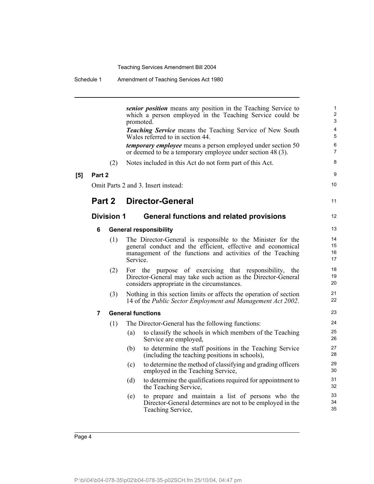Schedule 1 Amendment of Teaching Services Act 1980

|     |        |                   | promoted. | senior position means any position in the Teaching Service to<br>which a person employed in the Teaching Service could be                                                                | $\mathbf{1}$<br>$\overline{2}$<br>3 |
|-----|--------|-------------------|-----------|------------------------------------------------------------------------------------------------------------------------------------------------------------------------------------------|-------------------------------------|
|     |        |                   |           | <b>Teaching Service</b> means the Teaching Service of New South<br>Wales referred to in section 44.                                                                                      | 4<br>5                              |
|     |        |                   |           | temporary employee means a person employed under section 50<br>or deemed to be a temporary employee under section 48 (3).                                                                | 6<br>$\overline{7}$                 |
|     |        | (2)               |           | Notes included in this Act do not form part of this Act.                                                                                                                                 | 8                                   |
| [5] | Part 2 |                   |           |                                                                                                                                                                                          | 9                                   |
|     |        |                   |           | Omit Parts 2 and 3. Insert instead:                                                                                                                                                      | 10                                  |
|     | Part 2 |                   |           | <b>Director-General</b>                                                                                                                                                                  | 11                                  |
|     |        | <b>Division 1</b> |           | <b>General functions and related provisions</b>                                                                                                                                          | 12                                  |
|     | 6      |                   |           | <b>General responsibility</b>                                                                                                                                                            | 13                                  |
|     |        | (1)               | Service.  | The Director-General is responsible to the Minister for the<br>general conduct and the efficient, effective and economical<br>management of the functions and activities of the Teaching | 14<br>15<br>16<br>17                |
|     |        | (2)               |           | For the purpose of exercising that responsibility,<br>the<br>Director-General may take such action as the Director-General<br>considers appropriate in the circumstances.                | 18<br>19<br>20                      |
|     |        | (3)               |           | Nothing in this section limits or affects the operation of section<br>14 of the Public Sector Employment and Management Act 2002.                                                        | 21<br>22                            |
|     | 7      |                   |           | <b>General functions</b>                                                                                                                                                                 | 23                                  |
|     |        | (1)               |           | The Director-General has the following functions:                                                                                                                                        | 24                                  |
|     |        |                   | (a)       | to classify the schools in which members of the Teaching<br>Service are employed,                                                                                                        | 25<br>26                            |
|     |        |                   | (b)       | to determine the staff positions in the Teaching Service<br>(including the teaching positions in schools),                                                                               | 27<br>28                            |
|     |        |                   | (c)       | to determine the method of classifying and grading officers<br>employed in the Teaching Service,                                                                                         | 29<br>30                            |
|     |        |                   | (d)       | to determine the qualifications required for appointment to<br>the Teaching Service,                                                                                                     | 31<br>32                            |
|     |        |                   | (e)       | to prepare and maintain a list of persons who the<br>Director-General determines are not to be employed in the<br>Teaching Service,                                                      | 33<br>34<br>35                      |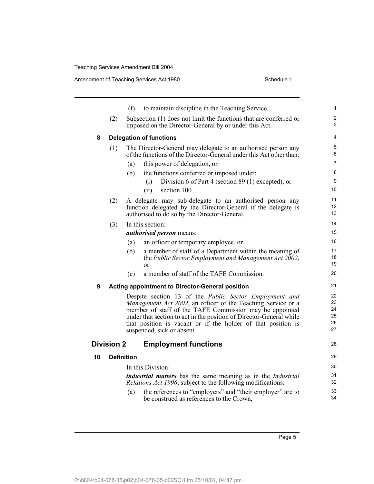| Amendment of Teaching Services Act 1980 | Schedule 1 |
|-----------------------------------------|------------|
|                                         |            |

|    |                   | (f)<br>to maintain discipline in the Teaching Service.                                                                                                                   | $\mathbf{1}$                  |
|----|-------------------|--------------------------------------------------------------------------------------------------------------------------------------------------------------------------|-------------------------------|
|    | (2)               | Subsection (1) does not limit the functions that are conferred or<br>imposed on the Director-General by or under this Act.                                               | $\overline{c}$<br>3           |
| 8  |                   | <b>Delegation of functions</b>                                                                                                                                           | 4                             |
|    | (1)               | The Director-General may delegate to an authorised person any<br>of the functions of the Director-General under this Act other than:                                     | 5<br>6                        |
|    |                   | this power of delegation, or<br>(a)                                                                                                                                      | $\overline{7}$                |
|    |                   | the functions conferred or imposed under:<br>(b)                                                                                                                         | 8                             |
|    |                   | Division 6 of Part 4 (section 89 (1) excepted), or<br>(i)<br>section 100.<br>(ii)                                                                                        | 9<br>10 <sup>1</sup>          |
|    | (2)               | A delegate may sub-delegate to an authorised person any<br>function delegated by the Director-General if the delegate is<br>authorised to do so by the Director-General. | 11<br>$12 \overline{ }$<br>13 |
|    | (3)               | In this section:                                                                                                                                                         | 14                            |
|    |                   | <i>authorised person</i> means:                                                                                                                                          | 15                            |
|    |                   | an officer or temporary employee, or<br>(a)                                                                                                                              | 16                            |
|    |                   | a member of staff of a Department within the meaning of<br>(b)                                                                                                           | 17<br>18                      |
|    |                   | the Public Sector Employment and Management Act 2002,<br>$\alpha$                                                                                                        | 19                            |
|    |                   | a member of staff of the TAFE Commission.<br>(c)                                                                                                                         | 20                            |
| 9  |                   | <b>Acting appointment to Director-General position</b>                                                                                                                   | 21                            |
|    |                   | Despite section 13 of the Public Sector Employment and                                                                                                                   | 22                            |
|    |                   | Management Act 2002, an officer of the Teaching Service or a                                                                                                             | 23<br>24                      |
|    |                   | member of staff of the TAFE Commission may be appointed<br>under that section to act in the position of Director-General while                                           | 25                            |
|    |                   | that position is vacant or if the holder of that position is<br>suspended, sick or absent.                                                                               | 26<br>27                      |
|    | <b>Division 2</b> | <b>Employment functions</b>                                                                                                                                              | 28                            |
| 10 |                   | <b>Definition</b>                                                                                                                                                        | 29                            |
|    |                   | In this Division:                                                                                                                                                        | 30                            |
|    |                   | <i>industrial matters</i> has the same meaning as in the <i>Industrial</i><br><i>Relations Act 1996</i> , subject to the following modifications:                        | 31<br>32                      |
|    |                   | the references to "employers" and "their employer" are to<br>(a)<br>be construed as references to the Crown,                                                             | 33<br>34                      |
|    |                   |                                                                                                                                                                          |                               |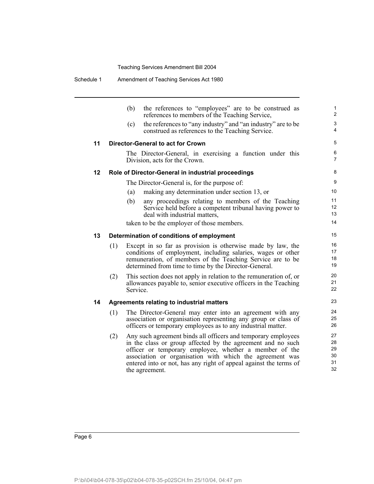Schedule 1 Amendment of Teaching Services Act 1980

|    |     | (b)<br>the references to "employees" are to be construed as<br>references to members of the Teaching Service,                                                                                                                                                                                                                             | $\mathbf{1}$<br>$\overline{c}$   |
|----|-----|-------------------------------------------------------------------------------------------------------------------------------------------------------------------------------------------------------------------------------------------------------------------------------------------------------------------------------------------|----------------------------------|
|    |     | the references to "any industry" and "an industry" are to be<br>(c)<br>construed as references to the Teaching Service.                                                                                                                                                                                                                   | 3<br>$\overline{4}$              |
| 11 |     | <b>Director-General to act for Crown</b>                                                                                                                                                                                                                                                                                                  | 5                                |
|    |     | The Director-General, in exercising a function under this<br>Division, acts for the Crown.                                                                                                                                                                                                                                                | 6<br>$\overline{7}$              |
| 12 |     | Role of Director-General in industrial proceedings                                                                                                                                                                                                                                                                                        | 8                                |
|    |     | The Director-General is, for the purpose of:                                                                                                                                                                                                                                                                                              | 9                                |
|    |     | making any determination under section 13, or<br>(a)                                                                                                                                                                                                                                                                                      | 10                               |
|    |     | (b)<br>any proceedings relating to members of the Teaching                                                                                                                                                                                                                                                                                | 11                               |
|    |     | Service held before a competent tribunal having power to<br>deal with industrial matters,                                                                                                                                                                                                                                                 | 12<br>13                         |
|    |     | taken to be the employer of those members.                                                                                                                                                                                                                                                                                                | 14                               |
| 13 |     | Determination of conditions of employment                                                                                                                                                                                                                                                                                                 | 15                               |
|    | (1) | Except in so far as provision is otherwise made by law, the<br>conditions of employment, including salaries, wages or other<br>remuneration, of members of the Teaching Service are to be<br>determined from time to time by the Director-General.                                                                                        | 16<br>17<br>18<br>19             |
|    | (2) | This section does not apply in relation to the remuneration of, or<br>allowances payable to, senior executive officers in the Teaching<br>Service.                                                                                                                                                                                        | 20<br>21<br>22                   |
| 14 |     | Agreements relating to industrial matters                                                                                                                                                                                                                                                                                                 | 23                               |
|    | (1) | The Director-General may enter into an agreement with any<br>association or organisation representing any group or class of<br>officers or temporary employees as to any industrial matter.                                                                                                                                               | 24<br>25<br>26                   |
|    | (2) | Any such agreement binds all officers and temporary employees<br>in the class or group affected by the agreement and no such<br>officer or temporary employee, whether a member of the<br>association or organisation with which the agreement was<br>entered into or not, has any right of appeal against the terms of<br>the agreement. | 27<br>28<br>29<br>30<br>31<br>32 |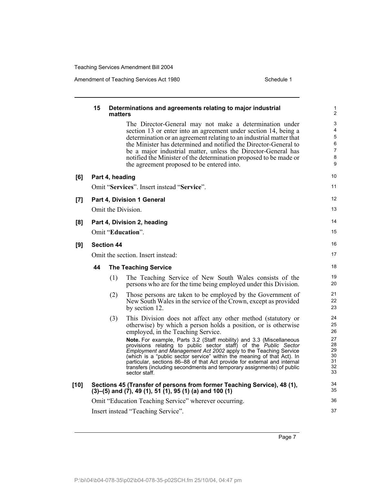|        | 15 | matters           | Determinations and agreements relating to major industrial                                                                                                                                                                                                                                                                                                                                                                                                                                                                                                                                                                            | 1<br>$\mathbf{2}$                                        |
|--------|----|-------------------|---------------------------------------------------------------------------------------------------------------------------------------------------------------------------------------------------------------------------------------------------------------------------------------------------------------------------------------------------------------------------------------------------------------------------------------------------------------------------------------------------------------------------------------------------------------------------------------------------------------------------------------|----------------------------------------------------------|
|        |    |                   | The Director-General may not make a determination under<br>section 13 or enter into an agreement under section 14, being a<br>determination or an agreement relating to an industrial matter that<br>the Minister has determined and notified the Director-General to<br>be a major industrial matter, unless the Director-General has<br>notified the Minister of the determination proposed to be made or<br>the agreement proposed to be entered into.                                                                                                                                                                             | 3<br>4<br>5<br>6<br>$\overline{7}$<br>8<br>9             |
| [6]    |    | Part 4, heading   |                                                                                                                                                                                                                                                                                                                                                                                                                                                                                                                                                                                                                                       | 10                                                       |
|        |    |                   | Omit "Services". Insert instead "Service".                                                                                                                                                                                                                                                                                                                                                                                                                                                                                                                                                                                            | 11                                                       |
| [7]    |    |                   | Part 4, Division 1 General                                                                                                                                                                                                                                                                                                                                                                                                                                                                                                                                                                                                            | $12 \overline{ }$                                        |
|        |    |                   | Omit the Division.                                                                                                                                                                                                                                                                                                                                                                                                                                                                                                                                                                                                                    | 13                                                       |
| [8]    |    |                   | Part 4, Division 2, heading                                                                                                                                                                                                                                                                                                                                                                                                                                                                                                                                                                                                           | 14                                                       |
|        |    |                   | Omit "Education".                                                                                                                                                                                                                                                                                                                                                                                                                                                                                                                                                                                                                     | 15                                                       |
| [9]    |    | <b>Section 44</b> |                                                                                                                                                                                                                                                                                                                                                                                                                                                                                                                                                                                                                                       | 16                                                       |
|        |    |                   | Omit the section. Insert instead:                                                                                                                                                                                                                                                                                                                                                                                                                                                                                                                                                                                                     | 17                                                       |
|        |    |                   |                                                                                                                                                                                                                                                                                                                                                                                                                                                                                                                                                                                                                                       |                                                          |
|        | 44 |                   | <b>The Teaching Service</b>                                                                                                                                                                                                                                                                                                                                                                                                                                                                                                                                                                                                           | 18                                                       |
|        |    | (1)               | The Teaching Service of New South Wales consists of the<br>persons who are for the time being employed under this Division.                                                                                                                                                                                                                                                                                                                                                                                                                                                                                                           | 19<br>20                                                 |
|        |    | (2)               | Those persons are taken to be employed by the Government of<br>New South Wales in the service of the Crown, except as provided<br>by section 12.                                                                                                                                                                                                                                                                                                                                                                                                                                                                                      | 21<br>22<br>23                                           |
|        |    | (3)               | This Division does not affect any other method (statutory or<br>otherwise) by which a person holds a position, or is otherwise<br>employed, in the Teaching Service.<br>Note. For example, Parts 3.2 (Staff mobility) and 3.3 (Miscellaneous<br>provisions relating to public sector staff) of the Public Sector<br>Employment and Management Act 2002 apply to the Teaching Service<br>(which is a "public sector service" within the meaning of that Act). In<br>particular, sections 86-88 of that Act provide for external and internal<br>transfers (including secondments and temporary assignments) of public<br>sector staff. | 24<br>25<br>26<br>27<br>28<br>29<br>30<br>31<br>32<br>33 |
| $[10]$ |    |                   | Sections 45 (Transfer of persons from former Teaching Service), 48 (1),<br>$(3)$ – $(5)$ and $(7)$ , 49 $(1)$ , 51 $(1)$ , 95 $(1)$ $(a)$ and 100 $(1)$                                                                                                                                                                                                                                                                                                                                                                                                                                                                               | 34<br>35                                                 |
|        |    |                   | Omit "Education Teaching Service" wherever occurring.                                                                                                                                                                                                                                                                                                                                                                                                                                                                                                                                                                                 | 36                                                       |

Page 7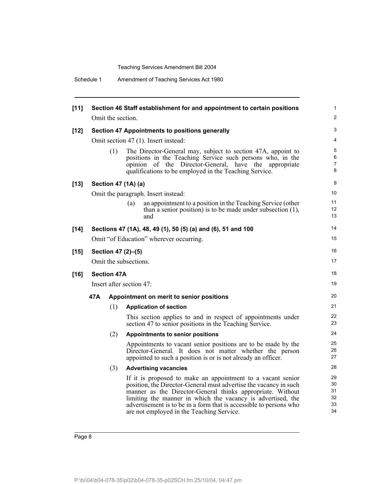Schedule 1 Amendment of Teaching Services Act 1980

| $[11]$ |     |                    | Section 46 Staff establishment for and appointment to certain positions                                                                                                                                                                                                                                                                                                          | $\mathbf{1}$                     |
|--------|-----|--------------------|----------------------------------------------------------------------------------------------------------------------------------------------------------------------------------------------------------------------------------------------------------------------------------------------------------------------------------------------------------------------------------|----------------------------------|
|        |     | Omit the section.  |                                                                                                                                                                                                                                                                                                                                                                                  | 2                                |
| $[12]$ |     |                    | <b>Section 47 Appointments to positions generally</b>                                                                                                                                                                                                                                                                                                                            | 3                                |
|        |     |                    | Omit section 47 (1). Insert instead:                                                                                                                                                                                                                                                                                                                                             | 4                                |
|        |     | (1)                | The Director-General may, subject to section 47A, appoint to<br>positions in the Teaching Service such persons who, in the<br>opinion of the Director-General, have the appropriate<br>qualifications to be employed in the Teaching Service.                                                                                                                                    | 5<br>6<br>$\overline{7}$<br>8    |
| $[13]$ |     |                    | Section 47 (1A) (a)                                                                                                                                                                                                                                                                                                                                                              | 9                                |
|        |     |                    | Omit the paragraph. Insert instead:                                                                                                                                                                                                                                                                                                                                              | 10                               |
|        |     |                    | an appointment to a position in the Teaching Service (other<br>(a)<br>than a senior position) is to be made under subsection $(1)$ ,<br>and                                                                                                                                                                                                                                      | 11<br>12<br>13                   |
| $[14]$ |     |                    | Sections 47 (1A), 48, 49 (1), 50 (5) (a) and (6), 51 and 100                                                                                                                                                                                                                                                                                                                     | 14                               |
|        |     |                    | Omit "of Education" wherever occurring.                                                                                                                                                                                                                                                                                                                                          | 15                               |
| $[15]$ |     |                    | Section 47 (2)-(5)                                                                                                                                                                                                                                                                                                                                                               | 16                               |
|        |     |                    | Omit the subsections.                                                                                                                                                                                                                                                                                                                                                            | 17                               |
| $[16]$ |     | <b>Section 47A</b> |                                                                                                                                                                                                                                                                                                                                                                                  | 18                               |
|        |     |                    | Insert after section 47:                                                                                                                                                                                                                                                                                                                                                         | 19                               |
|        | 47A |                    | Appointment on merit to senior positions                                                                                                                                                                                                                                                                                                                                         | 20                               |
|        |     | (1)                | <b>Application of section</b>                                                                                                                                                                                                                                                                                                                                                    | 21                               |
|        |     |                    | This section applies to and in respect of appointments under<br>section 47 to senior positions in the Teaching Service.                                                                                                                                                                                                                                                          | 22<br>23                         |
|        |     | (2)                | Appointments to senior positions                                                                                                                                                                                                                                                                                                                                                 | 24                               |
|        |     |                    | Appointments to vacant senior positions are to be made by the<br>Director-General. It does not matter whether the person<br>appointed to such a position is or is not already an officer.                                                                                                                                                                                        | 25<br>26<br>27                   |
|        |     | (3)                | <b>Advertising vacancies</b>                                                                                                                                                                                                                                                                                                                                                     | 28                               |
|        |     |                    | If it is proposed to make an appointment to a vacant senior<br>position, the Director-General must advertise the vacancy in such<br>manner as the Director-General thinks appropriate. Without<br>limiting the manner in which the vacancy is advertised, the<br>advertisement is to be in a form that is accessible to persons who<br>are not employed in the Teaching Service. | 29<br>30<br>31<br>32<br>33<br>34 |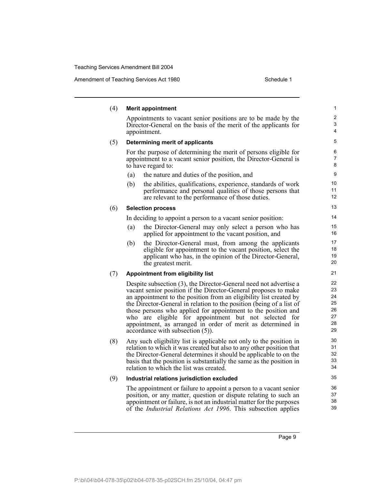| (4) | <b>Merit appointment</b>                                                                                                                                                                                                                                                                                                                                                                                                                                                                                           | 1                                            |
|-----|--------------------------------------------------------------------------------------------------------------------------------------------------------------------------------------------------------------------------------------------------------------------------------------------------------------------------------------------------------------------------------------------------------------------------------------------------------------------------------------------------------------------|----------------------------------------------|
|     | Appointments to vacant senior positions are to be made by the<br>Director-General on the basis of the merit of the applicants for<br>appointment.                                                                                                                                                                                                                                                                                                                                                                  | 2<br>3<br>4                                  |
| (5) | Determining merit of applicants                                                                                                                                                                                                                                                                                                                                                                                                                                                                                    | 5                                            |
|     | For the purpose of determining the merit of persons eligible for<br>appointment to a vacant senior position, the Director-General is<br>to have regard to:                                                                                                                                                                                                                                                                                                                                                         | 6<br>$\overline{7}$<br>8                     |
|     | the nature and duties of the position, and<br>(a)                                                                                                                                                                                                                                                                                                                                                                                                                                                                  | 9                                            |
|     | the abilities, qualifications, experience, standards of work<br>(b)<br>performance and personal qualities of those persons that<br>are relevant to the performance of those duties.                                                                                                                                                                                                                                                                                                                                | 10<br>11<br>12                               |
| (6) | <b>Selection process</b>                                                                                                                                                                                                                                                                                                                                                                                                                                                                                           | 13                                           |
|     | In deciding to appoint a person to a vacant senior position:                                                                                                                                                                                                                                                                                                                                                                                                                                                       | 14                                           |
|     | the Director-General may only select a person who has<br>(a)<br>applied for appointment to the vacant position, and                                                                                                                                                                                                                                                                                                                                                                                                | 15<br>16                                     |
|     | the Director-General must, from among the applicants<br>(b)<br>eligible for appointment to the vacant position, select the<br>applicant who has, in the opinion of the Director-General,<br>the greatest merit.                                                                                                                                                                                                                                                                                                    | 17<br>18<br>19<br>20                         |
| (7) | Appointment from eligibility list                                                                                                                                                                                                                                                                                                                                                                                                                                                                                  | 21                                           |
|     | Despite subsection (3), the Director-General need not advertise a<br>vacant senior position if the Director-General proposes to make<br>an appointment to the position from an eligibility list created by<br>the Director-General in relation to the position (being of a list of<br>those persons who applied for appointment to the position and<br>who are eligible for appointment but not selected for<br>appointment, as arranged in order of merit as determined in<br>accordance with subsection $(5)$ ). | 22<br>23<br>24<br>25<br>26<br>27<br>28<br>29 |
| (8) | Any such eligibility list is applicable not only to the position in<br>relation to which it was created but also to any other position that<br>the Director-General determines it should be applicable to on the<br>basis that the position is substantially the same as the position in<br>relation to which the list was created.                                                                                                                                                                                | 30<br>31<br>32<br>33<br>34                   |
| (9) | Industrial relations jurisdiction excluded                                                                                                                                                                                                                                                                                                                                                                                                                                                                         | 35                                           |
|     | The appointment or failure to appoint a person to a vacant senior<br>position, or any matter, question or dispute relating to such an<br>appointment or failure, is not an industrial matter for the purposes<br>of the <i>Industrial Relations Act 1996</i> . This subsection applies                                                                                                                                                                                                                             | 36<br>37<br>38<br>39                         |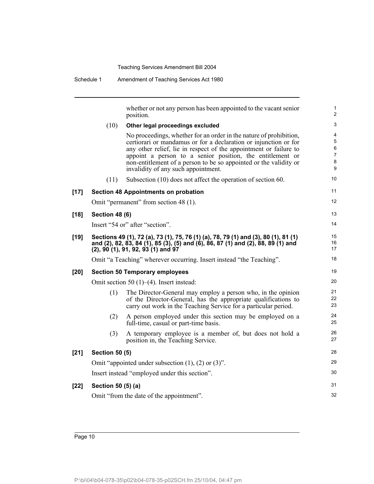Schedule 1 Amendment of Teaching Services Act 1980

whether or not any person has been appointed to the vacant senior position.

1 2

|        | (10)                  | Other legal proceedings excluded                                                                                                                                                                                                                                                                                                                                                     | 3                                           |
|--------|-----------------------|--------------------------------------------------------------------------------------------------------------------------------------------------------------------------------------------------------------------------------------------------------------------------------------------------------------------------------------------------------------------------------------|---------------------------------------------|
|        |                       | No proceedings, whether for an order in the nature of prohibition,<br>certiorari or mandamus or for a declaration or injunction or for<br>any other relief, lie in respect of the appointment or failure to<br>appoint a person to a senior position, the entitlement or<br>non-entitlement of a person to be so appointed or the validity or<br>invalidity of any such appointment. | 4<br>5<br>$\,6$<br>$\overline{7}$<br>8<br>9 |
|        | (11)                  | Subsection (10) does not affect the operation of section 60.                                                                                                                                                                                                                                                                                                                         | 10                                          |
| $[17]$ |                       | <b>Section 48 Appointments on probation</b>                                                                                                                                                                                                                                                                                                                                          | 11                                          |
|        |                       | Omit "permanent" from section 48 (1).                                                                                                                                                                                                                                                                                                                                                | 12                                          |
| $[18]$ | <b>Section 48 (6)</b> |                                                                                                                                                                                                                                                                                                                                                                                      | 13                                          |
|        |                       | Insert "54 or" after "section".                                                                                                                                                                                                                                                                                                                                                      | 14                                          |
| $[19]$ |                       | Sections 49 (1), 72 (a), 73 (1), 75, 76 (1) (a), 78, 79 (1) and (3), 80 (1), 81 (1)<br>and (2), 82, 83, 84 (1), 85 (3), (5) and (6), 86, 87 (1) and (2), 88, 89 (1) and<br>(2), 90 (1), 91, 92, 93 (1) and 97                                                                                                                                                                        | 15<br>16<br>17                              |
|        |                       | Omit "a Teaching" wherever occurring. Insert instead "the Teaching".                                                                                                                                                                                                                                                                                                                 | 18                                          |
| $[20]$ |                       | <b>Section 50 Temporary employees</b>                                                                                                                                                                                                                                                                                                                                                | 19                                          |
|        |                       | Omit section 50 $(1)$ – $(4)$ . Insert instead:                                                                                                                                                                                                                                                                                                                                      | 20                                          |
|        | (1)                   | The Director-General may employ a person who, in the opinion<br>of the Director-General, has the appropriate qualifications to<br>carry out work in the Teaching Service for a particular period.                                                                                                                                                                                    | 21<br>22<br>23                              |
|        | (2)                   | A person employed under this section may be employed on a<br>full-time, casual or part-time basis.                                                                                                                                                                                                                                                                                   | 24<br>25                                    |
|        | (3)                   | A temporary employee is a member of, but does not hold a<br>position in, the Teaching Service.                                                                                                                                                                                                                                                                                       | 26<br>27                                    |
| $[21]$ | <b>Section 50 (5)</b> |                                                                                                                                                                                                                                                                                                                                                                                      | 28                                          |
|        |                       | Omit "appointed under subsection $(1)$ , $(2)$ or $(3)$ ".                                                                                                                                                                                                                                                                                                                           | 29                                          |
|        |                       | Insert instead "employed under this section".                                                                                                                                                                                                                                                                                                                                        | 30                                          |
| $[22]$ | Section 50 (5) (a)    |                                                                                                                                                                                                                                                                                                                                                                                      | 31                                          |
|        |                       | Omit "from the date of the appointment".                                                                                                                                                                                                                                                                                                                                             | 32                                          |
|        |                       |                                                                                                                                                                                                                                                                                                                                                                                      |                                             |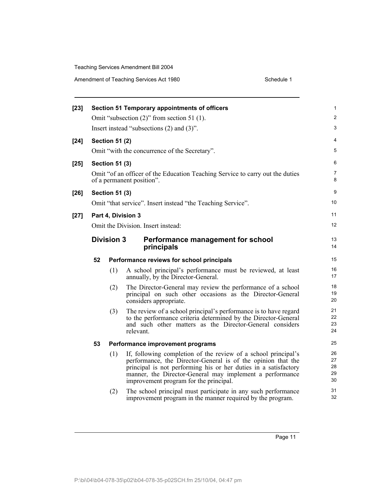Amendment of Teaching Services Act 1980 Schedule 1

| $[23]$ |    |                       | Section 51 Temporary appointments of officers<br>Omit "subsection $(2)$ " from section 51 $(1)$ .<br>Insert instead "subsections $(2)$ and $(3)$ ".                                                                                                                                                     | $\mathbf{1}$<br>2<br>3     |
|--------|----|-----------------------|---------------------------------------------------------------------------------------------------------------------------------------------------------------------------------------------------------------------------------------------------------------------------------------------------------|----------------------------|
| $[24]$ |    | <b>Section 51 (2)</b> | Omit "with the concurrence of the Secretary".                                                                                                                                                                                                                                                           | 4<br>5                     |
| $[25]$ |    | <b>Section 51 (3)</b> | Omit "of an officer of the Education Teaching Service to carry out the duties<br>of a permanent position".                                                                                                                                                                                              | 6<br>$\overline{7}$<br>8   |
| $[26]$ |    | <b>Section 51 (3)</b> |                                                                                                                                                                                                                                                                                                         | 9                          |
|        |    |                       | Omit "that service". Insert instead "the Teaching Service".                                                                                                                                                                                                                                             | 10                         |
| $[27]$ |    |                       | Part 4, Division 3                                                                                                                                                                                                                                                                                      | 11                         |
|        |    |                       | Omit the Division. Insert instead:                                                                                                                                                                                                                                                                      | 12                         |
|        |    | <b>Division 3</b>     | Performance management for school<br>principals                                                                                                                                                                                                                                                         | 13<br>14                   |
|        | 52 |                       | Performance reviews for school principals                                                                                                                                                                                                                                                               | 15                         |
|        |    | (1)                   | A school principal's performance must be reviewed, at least<br>annually, by the Director-General.                                                                                                                                                                                                       | 16<br>17                   |
|        |    | (2)                   | The Director-General may review the performance of a school<br>principal on such other occasions as the Director-General<br>considers appropriate.                                                                                                                                                      | 18<br>19<br>20             |
|        |    | (3)                   | The review of a school principal's performance is to have regard<br>to the performance criteria determined by the Director-General<br>and such other matters as the Director-General considers<br>relevant                                                                                              | 21<br>22<br>23<br>24       |
|        | 53 |                       | Performance improvement programs                                                                                                                                                                                                                                                                        | 25                         |
|        |    | (1)                   | If, following completion of the review of a school principal's<br>performance, the Director-General is of the opinion that the<br>principal is not performing his or her duties in a satisfactory<br>manner, the Director-General may implement a performance<br>improvement program for the principal. | 26<br>27<br>28<br>29<br>30 |
|        |    | (2)                   | The school principal must participate in any such performance<br>improvement program in the manner required by the program.                                                                                                                                                                             | 31<br>32                   |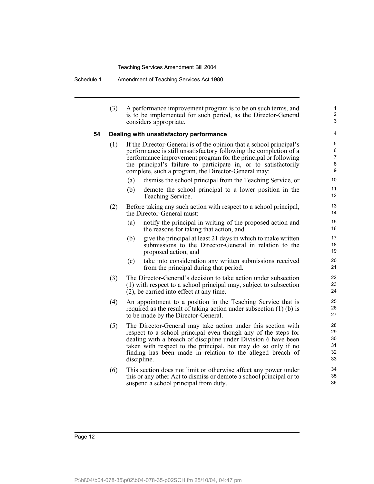Schedule 1 Amendment of Teaching Services Act 1980

|    | (3) |     | A performance improvement program is to be on such terms, and<br>is to be implemented for such period, as the Director-General<br>considers appropriate.                                                                                                                                                                                       | 1<br>$\overline{c}$<br>3           |
|----|-----|-----|------------------------------------------------------------------------------------------------------------------------------------------------------------------------------------------------------------------------------------------------------------------------------------------------------------------------------------------------|------------------------------------|
| 54 |     |     | Dealing with unsatisfactory performance                                                                                                                                                                                                                                                                                                        | 4                                  |
|    | (1) |     | If the Director-General is of the opinion that a school principal's<br>performance is still unsatisfactory following the completion of a<br>performance improvement program for the principal or following<br>the principal's failure to participate in, or to satisfactorily<br>complete, such a program, the Director-General may:           | 5<br>6<br>$\overline{7}$<br>8<br>9 |
|    |     | (a) | dismiss the school principal from the Teaching Service, or                                                                                                                                                                                                                                                                                     | 10                                 |
|    |     | (b) | demote the school principal to a lower position in the<br>Teaching Service.                                                                                                                                                                                                                                                                    | 11<br>12                           |
|    | (2) |     | Before taking any such action with respect to a school principal,<br>the Director-General must:                                                                                                                                                                                                                                                | 13<br>14                           |
|    |     | (a) | notify the principal in writing of the proposed action and<br>the reasons for taking that action, and                                                                                                                                                                                                                                          | 15<br>16                           |
|    |     | (b) | give the principal at least 21 days in which to make written<br>submissions to the Director-General in relation to the<br>proposed action, and                                                                                                                                                                                                 | 17<br>18<br>19                     |
|    |     | (c) | take into consideration any written submissions received<br>from the principal during that period.                                                                                                                                                                                                                                             | 20<br>21                           |
|    | (3) |     | The Director-General's decision to take action under subsection<br>(1) with respect to a school principal may, subject to subsection<br>$(2)$ , be carried into effect at any time.                                                                                                                                                            | 22<br>23<br>24                     |
|    | (4) |     | An appointment to a position in the Teaching Service that is<br>required as the result of taking action under subsection $(1)$ (b) is<br>to be made by the Director-General.                                                                                                                                                                   | 25<br>26<br>27                     |
|    | (5) |     | The Director-General may take action under this section with<br>respect to a school principal even though any of the steps for<br>dealing with a breach of discipline under Division 6 have been<br>taken with respect to the principal, but may do so only if no<br>finding has been made in relation to the alleged breach of<br>discipline. | 28<br>29<br>30<br>31<br>32<br>33   |
|    | (6) |     | This section does not limit or otherwise affect any power under<br>this or any other Act to dismiss or demote a school principal or to<br>suspend a school principal from duty.                                                                                                                                                                | 34<br>35<br>36                     |
|    |     |     |                                                                                                                                                                                                                                                                                                                                                |                                    |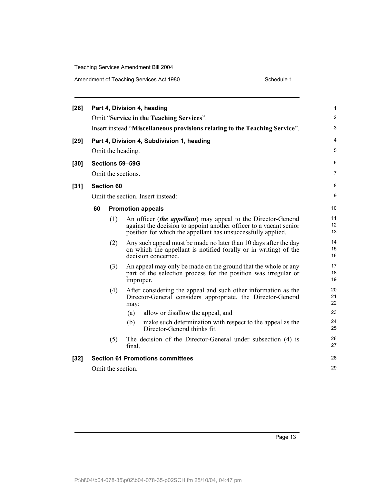Amendment of Teaching Services Act 1980 Schedule 1

| $[28]$ |    |                   | Part 4, Division 4, heading                                                                                                                                                                                | 1              |
|--------|----|-------------------|------------------------------------------------------------------------------------------------------------------------------------------------------------------------------------------------------------|----------------|
|        |    |                   | Omit "Service in the Teaching Services".                                                                                                                                                                   | $\overline{c}$ |
|        |    |                   | Insert instead "Miscellaneous provisions relating to the Teaching Service".                                                                                                                                | 3              |
| $[29]$ |    |                   | Part 4, Division 4, Subdivision 1, heading                                                                                                                                                                 | 4              |
|        |    |                   | Omit the heading.                                                                                                                                                                                          | 5              |
| $[30]$ |    |                   | Sections 59-59G                                                                                                                                                                                            | 6              |
|        |    |                   | Omit the sections.                                                                                                                                                                                         | 7              |
| $[31]$ |    | <b>Section 60</b> |                                                                                                                                                                                                            | 8              |
|        |    |                   | Omit the section. Insert instead:                                                                                                                                                                          | 9              |
|        | 60 |                   | <b>Promotion appeals</b>                                                                                                                                                                                   | 10             |
|        |    | (1)               | An officer <i>(the appellant)</i> may appeal to the Director-General<br>against the decision to appoint another officer to a vacant senior<br>position for which the appellant has unsuccessfully applied. | 11<br>12<br>13 |
|        |    | (2)               | Any such appeal must be made no later than 10 days after the day<br>on which the appellant is notified (orally or in writing) of the<br>decision concerned.                                                | 14<br>15<br>16 |
|        |    | (3)               | An appeal may only be made on the ground that the whole or any<br>part of the selection process for the position was irregular or<br>improper.                                                             | 17<br>18<br>19 |
|        |    | (4)               | After considering the appeal and such other information as the<br>Director-General considers appropriate, the Director-General<br>may:                                                                     | 20<br>21<br>22 |
|        |    |                   | allow or disallow the appeal, and<br>(a)                                                                                                                                                                   | 23             |
|        |    |                   | (b)<br>make such determination with respect to the appeal as the<br>Director-General thinks fit.                                                                                                           | 24<br>25       |
|        |    | (5)               | The decision of the Director-General under subsection (4) is<br>final.                                                                                                                                     | 26<br>27       |
| $[32]$ |    |                   | <b>Section 61 Promotions committees</b>                                                                                                                                                                    | 28             |
|        |    | Omit the section. |                                                                                                                                                                                                            | 29             |
|        |    |                   |                                                                                                                                                                                                            |                |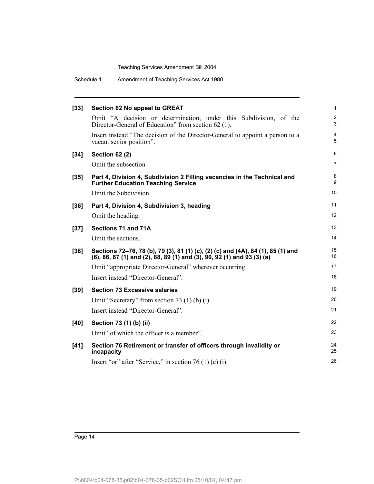Schedule 1 Amendment of Teaching Services Act 1980

| $[33]$ | Section 62 No appeal to GREAT                                                                                                                           | 1                   |
|--------|---------------------------------------------------------------------------------------------------------------------------------------------------------|---------------------|
|        | Omit "A decision or determination, under this Subdivision, of the<br>Director-General of Education" from section 62 (1).                                | $\overline{c}$<br>3 |
|        | Insert instead "The decision of the Director-General to appoint a person to a<br>vacant senior position".                                               | 4<br>5              |
| $[34]$ | <b>Section 62 (2)</b>                                                                                                                                   | 6                   |
|        | Omit the subsection.                                                                                                                                    | 7                   |
| $[35]$ | Part 4, Division 4, Subdivision 2 Filling vacancies in the Technical and<br><b>Further Education Teaching Service</b>                                   | 8<br>9              |
|        | Omit the Subdivision.                                                                                                                                   | 10                  |
| $[36]$ | Part 4, Division 4, Subdivision 3, heading                                                                                                              | 11                  |
|        | Omit the heading.                                                                                                                                       | 12                  |
| $[37]$ | Sections 71 and 71A                                                                                                                                     | 13                  |
|        | Omit the sections.                                                                                                                                      | 14                  |
| $[38]$ | Sections 72–76, 78 (b), 79 (3), 81 (1) (c), (2) (c) and (4A), 84 (1), 85 (1) and (6), 86, 87 (1) and (2), 88, 89 (1) and (3), 90, 92 (1) and 93 (3) (a) | 15<br>16            |
|        | Omit "appropriate Director-General" wherever occurring.                                                                                                 | 17                  |
|        | Insert instead "Director-General".                                                                                                                      | 18                  |
| $[39]$ | <b>Section 73 Excessive salaries</b>                                                                                                                    | 19                  |
|        | Omit "Secretary" from section 73 (1) (b) (i).                                                                                                           | 20                  |
|        | Insert instead "Director-General".                                                                                                                      | 21                  |
| $[40]$ | Section 73 (1) (b) (ii)                                                                                                                                 | 22                  |
|        | Omit "of which the officer is a member".                                                                                                                | 23                  |
| $[41]$ | Section 76 Retirement or transfer of officers through invalidity or<br>incapacity                                                                       | 24<br>25            |
|        | Insert "or" after "Service," in section 76 (1) (e) (i).                                                                                                 | 26                  |
|        |                                                                                                                                                         |                     |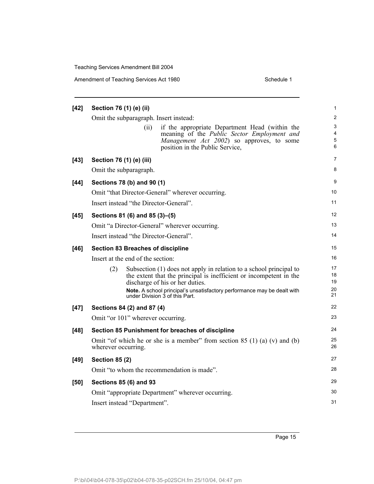| Schedule 1 |  |
|------------|--|
|            |  |

| $[42]$ | Section 76 (1) (e) (ii)                       |                                   |                                                                                                                                                                                                                                                        | 1                       |
|--------|-----------------------------------------------|-----------------------------------|--------------------------------------------------------------------------------------------------------------------------------------------------------------------------------------------------------------------------------------------------------|-------------------------|
|        |                                               |                                   | Omit the subparagraph. Insert instead:                                                                                                                                                                                                                 | $\overline{\mathbf{c}}$ |
|        |                                               | (ii)                              | if the appropriate Department Head (within the<br>meaning of the Public Sector Employment and<br>Management Act 2002) so approves, to some<br>position in the Public Service,                                                                          | 3<br>4<br>5<br>6        |
|        |                                               |                                   |                                                                                                                                                                                                                                                        | 7                       |
| $[43]$ | Section 76 (1) (e) (iii)                      | Omit the subparagraph.            |                                                                                                                                                                                                                                                        | 8                       |
|        |                                               |                                   |                                                                                                                                                                                                                                                        |                         |
| $[44]$ |                                               | Sections 78 (b) and 90 (1)        |                                                                                                                                                                                                                                                        | 9                       |
|        |                                               |                                   | Omit "that Director-General" wherever occurring.                                                                                                                                                                                                       | 10<br>11                |
|        |                                               |                                   | Insert instead "the Director-General".                                                                                                                                                                                                                 |                         |
| $[45]$ | Sections 81 (6) and 85 (3)–(5)                |                                   |                                                                                                                                                                                                                                                        | 12<br>13                |
|        | Omit "a Director-General" wherever occurring. |                                   |                                                                                                                                                                                                                                                        |                         |
|        | Insert instead "the Director-General".        |                                   |                                                                                                                                                                                                                                                        | 14                      |
| [46]   | <b>Section 83 Breaches of discipline</b>      |                                   |                                                                                                                                                                                                                                                        | 15                      |
|        |                                               | Insert at the end of the section: |                                                                                                                                                                                                                                                        | 16                      |
|        | (2)                                           |                                   | Subsection (1) does not apply in relation to a school principal to<br>the extent that the principal is inefficient or incompetent in the<br>discharge of his or her duties.<br>Note. A school principal's unsatisfactory performance may be dealt with | 17<br>18<br>19<br>20    |
|        |                                               |                                   | under Division 3 of this Part.                                                                                                                                                                                                                         | 21                      |
| $[47]$ |                                               | Sections 84 (2) and 87 (4)        |                                                                                                                                                                                                                                                        | 22                      |
|        |                                               | Omit "or 101" wherever occurring. |                                                                                                                                                                                                                                                        | 23                      |
| $[48]$ |                                               |                                   | Section 85 Punishment for breaches of discipline                                                                                                                                                                                                       | 24                      |
|        | wherever occurring.                           |                                   | Omit "of which he or she is a member" from section $85(1)(a)(v)$ and (b)                                                                                                                                                                               | 25<br>26                |
| $[49]$ | <b>Section 85 (2)</b>                         |                                   |                                                                                                                                                                                                                                                        | 27                      |
|        |                                               |                                   | Omit "to whom the recommendation is made".                                                                                                                                                                                                             | 28                      |
| [50]   |                                               | <b>Sections 85 (6) and 93</b>     |                                                                                                                                                                                                                                                        | 29                      |
|        |                                               |                                   | Omit "appropriate Department" wherever occurring.                                                                                                                                                                                                      | 30                      |
|        |                                               | Insert instead "Department".      |                                                                                                                                                                                                                                                        | 31                      |
|        |                                               |                                   |                                                                                                                                                                                                                                                        |                         |

Page 15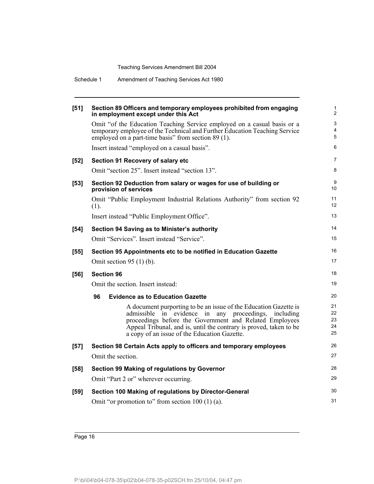Schedule 1 Amendment of Teaching Services Act 1980

| $[51]$ | Section 89 Officers and temporary employees prohibited from engaging<br>in employment except under this Act                                                                                                                                                                                               | 1<br>$\overline{2}$        |
|--------|-----------------------------------------------------------------------------------------------------------------------------------------------------------------------------------------------------------------------------------------------------------------------------------------------------------|----------------------------|
|        | Omit "of the Education Teaching Service employed on a casual basis or a<br>temporary employee of the Technical and Further Education Teaching Service<br>employed on a part-time basis" from section 89 (1).                                                                                              | 3<br>4<br>5                |
|        | Insert instead "employed on a casual basis".                                                                                                                                                                                                                                                              | 6                          |
| $[52]$ | Section 91 Recovery of salary etc                                                                                                                                                                                                                                                                         | 7                          |
|        | Omit "section 25". Insert instead "section 13".                                                                                                                                                                                                                                                           | 8                          |
| $[53]$ | Section 92 Deduction from salary or wages for use of building or<br>provision of services                                                                                                                                                                                                                 | 9<br>10                    |
|        | Omit "Public Employment Industrial Relations Authority" from section 92<br>(1).                                                                                                                                                                                                                           | 11<br>12                   |
|        | Insert instead "Public Employment Office".                                                                                                                                                                                                                                                                | 13                         |
| $[54]$ | Section 94 Saving as to Minister's authority                                                                                                                                                                                                                                                              | 14                         |
|        | Omit "Services". Insert instead "Service".                                                                                                                                                                                                                                                                | 15                         |
| $[55]$ | Section 95 Appointments etc to be notified in Education Gazette                                                                                                                                                                                                                                           | 16                         |
|        | Omit section 95 $(1)$ (b).                                                                                                                                                                                                                                                                                | 17                         |
| [56]   | <b>Section 96</b>                                                                                                                                                                                                                                                                                         | 18                         |
|        | Omit the section. Insert instead:                                                                                                                                                                                                                                                                         | 19                         |
|        | 96<br><b>Evidence as to Education Gazette</b>                                                                                                                                                                                                                                                             | 20                         |
|        | A document purporting to be an issue of the Education Gazette is<br>admissible in evidence in any proceedings, including<br>proceedings before the Government and Related Employees<br>Appeal Tribunal, and is, until the contrary is proved, taken to be<br>a copy of an issue of the Education Gazette. | 21<br>22<br>23<br>24<br>25 |
| $[57]$ | Section 98 Certain Acts apply to officers and temporary employees                                                                                                                                                                                                                                         | 26                         |
|        | Omit the section.                                                                                                                                                                                                                                                                                         | 27                         |
| $[58]$ | Section 99 Making of regulations by Governor                                                                                                                                                                                                                                                              | 28                         |
|        | Omit "Part 2 or" wherever occurring.                                                                                                                                                                                                                                                                      | 29                         |
| $[59]$ | Section 100 Making of regulations by Director-General                                                                                                                                                                                                                                                     | 30                         |
|        | Omit "or promotion to" from section $100(1)(a)$ .                                                                                                                                                                                                                                                         | 31                         |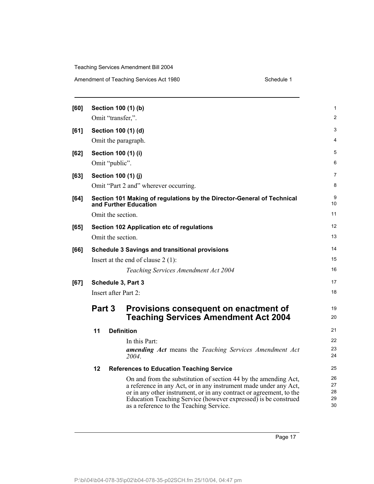Amendment of Teaching Services Act 1980 Schedule 1

| $\overline{\mathbf{c}}$<br>3<br>4<br>5<br>6<br>7<br>8         |
|---------------------------------------------------------------|
|                                                               |
|                                                               |
|                                                               |
|                                                               |
|                                                               |
|                                                               |
|                                                               |
| 9<br>10                                                       |
| 11                                                            |
| 12                                                            |
| 13                                                            |
| 14                                                            |
| 15                                                            |
| 16                                                            |
| 17                                                            |
| 18                                                            |
| 19<br>20                                                      |
| 21                                                            |
| 22                                                            |
| 23<br>24                                                      |
| 25                                                            |
| 26<br>27<br>28<br>29<br>30                                    |
| <b>amending Act</b> means the Teaching Services Amendment Act |

Page 17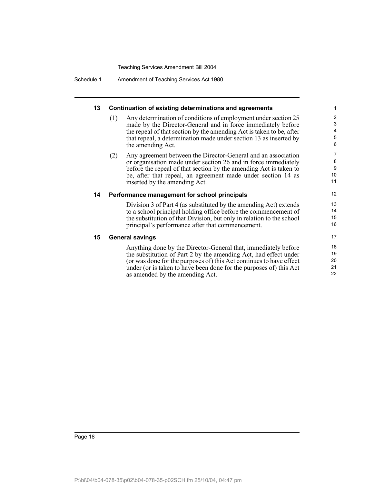Schedule 1 Amendment of Teaching Services Act 1980

| 13 | Continuation of existing determinations and agreements                                                                                                                                                                                                                                                             | $\mathbf{1}$                                                      |
|----|--------------------------------------------------------------------------------------------------------------------------------------------------------------------------------------------------------------------------------------------------------------------------------------------------------------------|-------------------------------------------------------------------|
|    | Any determination of conditions of employment under section 25<br>(1)<br>made by the Director-General and in force immediately before<br>the repeal of that section by the amending Act is taken to be, after<br>that repeal, a determination made under section 13 as inserted by<br>the amending Act.            | $\overline{\mathbf{c}}$<br>3<br>$\overline{\mathbf{4}}$<br>5<br>6 |
|    | Any agreement between the Director-General and an association<br>(2)<br>or organisation made under section 26 and in force immediately<br>before the repeal of that section by the amending Act is taken to<br>be, after that repeal, an agreement made under section 14 as<br>inserted by the amending Act.       | 7<br>8<br>9<br>10<br>11                                           |
| 14 | Performance management for school principals                                                                                                                                                                                                                                                                       | 12                                                                |
|    | Division 3 of Part 4 (as substituted by the amending Act) extends<br>to a school principal holding office before the commencement of<br>the substitution of that Division, but only in relation to the school<br>principal's performance after that commencement.                                                  | 13<br>14<br>15<br>16                                              |
| 15 | <b>General savings</b>                                                                                                                                                                                                                                                                                             | 17                                                                |
|    | Anything done by the Director-General that, immediately before<br>the substitution of Part 2 by the amending Act, had effect under<br>(or was done for the purposes of) this Act continues to have effect<br>under (or is taken to have been done for the purposes of) this Act<br>as amended by the amending Act. | 18<br>19<br>20<br>21<br>22                                        |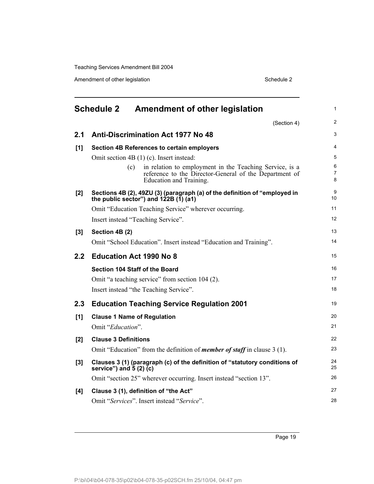Amendment of other legislation Schedule 2

|       | Amendment of other legislation<br><b>Schedule 2</b>                                                                                                 | 1           |
|-------|-----------------------------------------------------------------------------------------------------------------------------------------------------|-------------|
|       | (Section 4)                                                                                                                                         | 2           |
| 2.1   | <b>Anti-Discrimination Act 1977 No 48</b>                                                                                                           | 3           |
| [1]   | Section 4B References to certain employers                                                                                                          | 4           |
|       | Omit section 4B (1) (c). Insert instead:                                                                                                            | 5           |
|       | in relation to employment in the Teaching Service, is a<br>(c)<br>reference to the Director-General of the Department of<br>Education and Training. | 6<br>7<br>8 |
| $[2]$ | Sections 4B (2), 49ZU (3) (paragraph (a) of the definition of "employed in<br>the public sector") and $122B(1)$ (a1)                                | 9<br>10     |
|       | Omit "Education Teaching Service" wherever occurring.                                                                                               | 11          |
|       | Insert instead "Teaching Service".                                                                                                                  | 12          |
| [3]   | Section 4B (2)                                                                                                                                      | 13          |
|       | Omit "School Education". Insert instead "Education and Training".                                                                                   | 14          |
| 2.2   | <b>Education Act 1990 No 8</b>                                                                                                                      | 15          |
|       | Section 104 Staff of the Board                                                                                                                      | 16          |
|       | Omit "a teaching service" from section 104 (2).                                                                                                     | 17          |
|       | Insert instead "the Teaching Service".                                                                                                              | 18          |
| 2.3   | <b>Education Teaching Service Regulation 2001</b>                                                                                                   | 19          |
| [1]   | <b>Clause 1 Name of Regulation</b>                                                                                                                  | 20          |
|       | Omit "Education".                                                                                                                                   | 21          |
| [2]   | <b>Clause 3 Definitions</b>                                                                                                                         | 22          |
|       | Omit "Education" from the definition of <i>member of staff</i> in clause 3 (1).                                                                     | 23          |
| [3]   | Clauses 3 (1) (paragraph (c) of the definition of "statutory conditions of<br>service") and $\ddot{5}$ (2) (c)                                      | 24<br>25    |
|       | Omit "section 25" wherever occurring. Insert instead "section 13".                                                                                  | 26          |
| [4]   | Clause 3 (1), definition of "the Act"                                                                                                               | 27          |
|       | Omit "Services". Insert instead "Service".                                                                                                          | 28          |

Page 19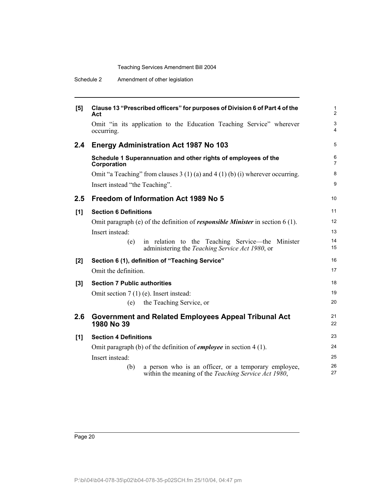Schedule 2 Amendment of other legislation

| [5] | Clause 13 "Prescribed officers" for purposes of Division 6 of Part 4 of the<br>Act                                          | $\mathbf{1}$<br>2              |
|-----|-----------------------------------------------------------------------------------------------------------------------------|--------------------------------|
|     | Omit "in its application to the Education Teaching Service" wherever<br>occurring.                                          | $\mathbf{3}$<br>$\overline{4}$ |
| 2.4 | Energy Administration Act 1987 No 103                                                                                       | 5                              |
|     | Schedule 1 Superannuation and other rights of employees of the<br>Corporation                                               | 6<br>$\overline{7}$            |
|     | Omit "a Teaching" from clauses $3(1)(a)$ and $4(1)(b)(i)$ wherever occurring.                                               | 8                              |
|     | Insert instead "the Teaching".                                                                                              | 9                              |
| 2.5 | Freedom of Information Act 1989 No 5                                                                                        | 10                             |
| [1] | <b>Section 6 Definitions</b>                                                                                                | 11                             |
|     | Omit paragraph (e) of the definition of <i>responsible Minister</i> in section $6(1)$ .                                     | 12                             |
|     | Insert instead:                                                                                                             | 13                             |
|     | in relation to the Teaching Service—the Minister<br>(e)<br>administering the Teaching Service Act 1980, or                  | 14<br>15                       |
| [2] | Section 6 (1), definition of "Teaching Service"                                                                             | 16                             |
|     | Omit the definition.                                                                                                        | 17                             |
| [3] | <b>Section 7 Public authorities</b>                                                                                         | 18                             |
|     | Omit section $7(1)$ (e). Insert instead:                                                                                    | 19                             |
|     | the Teaching Service, or<br>(e)                                                                                             | 20                             |
| 2.6 | <b>Government and Related Employees Appeal Tribunal Act</b><br>1980 No 39                                                   | 21<br>22                       |
| [1] | <b>Section 4 Definitions</b>                                                                                                | 23                             |
|     | Omit paragraph (b) of the definition of <i>employee</i> in section $4(1)$ .                                                 | 24                             |
|     | Insert instead:                                                                                                             | 25                             |
|     | a person who is an officer, or a temporary employee,<br>(b)<br>within the meaning of the <i>Teaching Service Act 1980</i> , | 26<br>27                       |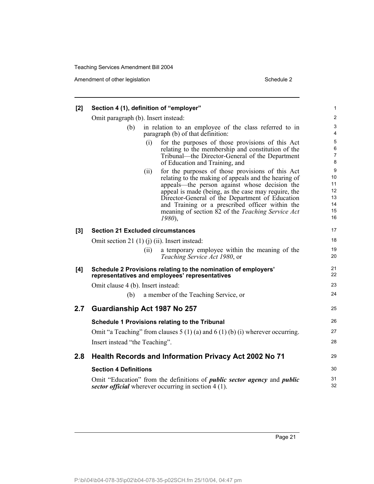Amendment of other legislation Schedule 2

| $[2]$ | Section 4 (1), definition of "employer"                                                                                                                                                                                                                                                                                                                                                       | $\mathbf{1}$                                     |  |  |
|-------|-----------------------------------------------------------------------------------------------------------------------------------------------------------------------------------------------------------------------------------------------------------------------------------------------------------------------------------------------------------------------------------------------|--------------------------------------------------|--|--|
|       | Omit paragraph (b). Insert instead:                                                                                                                                                                                                                                                                                                                                                           | $\overline{2}$                                   |  |  |
|       | in relation to an employee of the class referred to in<br>(b)<br>paragraph (b) of that definition:                                                                                                                                                                                                                                                                                            | 3<br>4                                           |  |  |
|       | for the purposes of those provisions of this Act<br>(i)<br>relating to the membership and constitution of the<br>Tribunal—the Director-General of the Department<br>of Education and Training, and                                                                                                                                                                                            | $\overline{5}$<br>$\,6\,$<br>$\overline{7}$<br>8 |  |  |
|       | for the purposes of those provisions of this Act<br>(ii)<br>relating to the making of appeals and the hearing of<br>appeals—the person against whose decision the<br>appeal is made (being, as the case may require, the<br>Director-General of the Department of Education<br>and Training or a prescribed officer within the<br>meaning of section 82 of the Teaching Service Act<br>1980), | 9<br>10<br>11<br>12<br>13<br>14<br>15<br>16      |  |  |
| $[3]$ | <b>Section 21 Excluded circumstances</b>                                                                                                                                                                                                                                                                                                                                                      | 17                                               |  |  |
|       | Omit section 21 (1) (j) (ii). Insert instead:                                                                                                                                                                                                                                                                                                                                                 |                                                  |  |  |
|       | a temporary employee within the meaning of the<br>(ii)<br>Teaching Service Act 1980, or                                                                                                                                                                                                                                                                                                       | 19<br>20                                         |  |  |
| [4]   | Schedule 2 Provisions relating to the nomination of employers'<br>representatives and employees' representatives                                                                                                                                                                                                                                                                              | 21<br>22                                         |  |  |
|       | Omit clause 4 (b). Insert instead:                                                                                                                                                                                                                                                                                                                                                            | 23                                               |  |  |
|       | a member of the Teaching Service, or<br>(b)                                                                                                                                                                                                                                                                                                                                                   | 24                                               |  |  |
| 2.7   | Guardianship Act 1987 No 257                                                                                                                                                                                                                                                                                                                                                                  | 25                                               |  |  |
|       | <b>Schedule 1 Provisions relating to the Tribunal</b>                                                                                                                                                                                                                                                                                                                                         |                                                  |  |  |
|       | Omit "a Teaching" from clauses $5(1)(a)$ and $6(1)(b)(i)$ wherever occurring.                                                                                                                                                                                                                                                                                                                 | 27                                               |  |  |
|       | Insert instead "the Teaching".                                                                                                                                                                                                                                                                                                                                                                | 28                                               |  |  |
| 2.8   | <b>Health Records and Information Privacy Act 2002 No 71</b>                                                                                                                                                                                                                                                                                                                                  | 29                                               |  |  |
|       | <b>Section 4 Definitions</b>                                                                                                                                                                                                                                                                                                                                                                  | 30                                               |  |  |
|       | Omit "Education" from the definitions of <i>public sector agency</i> and <i>public</i><br>sector official wherever occurring in section 4 (1).                                                                                                                                                                                                                                                | 31<br>32                                         |  |  |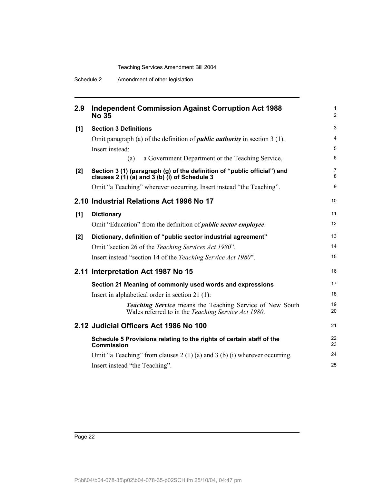Schedule 2 Amendment of other legislation

| 2.9   | <b>Independent Commission Against Corruption Act 1988</b><br><b>No 35</b>                                                 | $\mathbf{1}$<br>$\overline{2}$ |
|-------|---------------------------------------------------------------------------------------------------------------------------|--------------------------------|
| [1]   | <b>Section 3 Definitions</b>                                                                                              | 3                              |
|       | Omit paragraph (a) of the definition of <i>public authority</i> in section $3(1)$ .                                       | $\overline{4}$                 |
|       | Insert instead:                                                                                                           | 5                              |
|       | a Government Department or the Teaching Service,<br>(a)                                                                   | 6                              |
| $[2]$ | Section 3 (1) (paragraph (g) of the definition of "public official") and<br>clauses $2(1)(a)$ and $3(b)(i)$ of Schedule 3 | $\overline{7}$<br>8            |
|       | Omit "a Teaching" wherever occurring. Insert instead "the Teaching".                                                      | 9                              |
|       | 2.10 Industrial Relations Act 1996 No 17                                                                                  | 10                             |
| [1]   | <b>Dictionary</b>                                                                                                         | 11                             |
|       | Omit "Education" from the definition of <i>public sector employee</i> .                                                   | 12                             |
| [2]   | Dictionary, definition of "public sector industrial agreement"                                                            | 13                             |
|       | Omit "section 26 of the Teaching Services Act 1980".                                                                      | 14                             |
|       | Insert instead "section 14 of the <i>Teaching Service Act 1980"</i> .                                                     | 15                             |
|       | 2.11 Interpretation Act 1987 No 15                                                                                        | 16                             |
|       | Section 21 Meaning of commonly used words and expressions                                                                 | 17                             |
|       | Insert in alphabetical order in section 21 (1):                                                                           | 18                             |
|       | <b>Teaching Service</b> means the Teaching Service of New South<br>Wales referred to in the Teaching Service Act 1980.    | 19<br>20                       |
|       | 2.12 Judicial Officers Act 1986 No 100                                                                                    | 21                             |
|       | Schedule 5 Provisions relating to the rights of certain staff of the<br><b>Commission</b>                                 | 22<br>23                       |
|       | Omit "a Teaching" from clauses $2(1)(a)$ and $3(b)(i)$ wherever occurring.                                                | 24                             |
|       | Insert instead "the Teaching".                                                                                            | 25                             |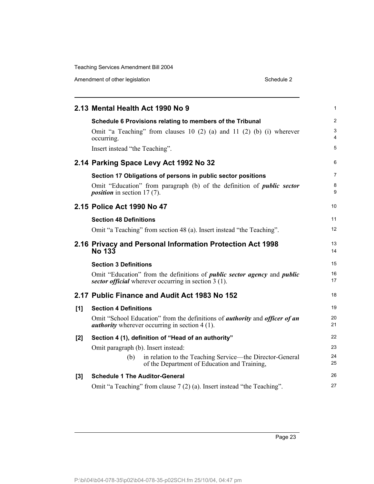Amendment of other legislation Schedule 2

|     | 2.13 Mental Health Act 1990 No 9                                                                                                                   | $\mathbf{1}$   |  |
|-----|----------------------------------------------------------------------------------------------------------------------------------------------------|----------------|--|
|     | Schedule 6 Provisions relating to members of the Tribunal                                                                                          | $\overline{2}$ |  |
|     | Omit "a Teaching" from clauses 10 (2) (a) and 11 (2) (b) (i) wherever<br>occurring.                                                                | 3<br>4         |  |
|     | Insert instead "the Teaching".                                                                                                                     | 5              |  |
|     | 2.14 Parking Space Levy Act 1992 No 32                                                                                                             | 6              |  |
|     | Section 17 Obligations of persons in public sector positions                                                                                       | $\overline{7}$ |  |
|     | Omit "Education" from paragraph (b) of the definition of <i>public sector</i><br><i>position</i> in section $17(7)$ .                              | 8<br>9         |  |
|     | 2.15 Police Act 1990 No 47                                                                                                                         | 10             |  |
|     | <b>Section 48 Definitions</b>                                                                                                                      | 11             |  |
|     | Omit "a Teaching" from section 48 (a). Insert instead "the Teaching".                                                                              | 12             |  |
|     | 2.16 Privacy and Personal Information Protection Act 1998<br><b>No 133</b>                                                                         | 13<br>14       |  |
|     | <b>Section 3 Definitions</b>                                                                                                                       | 15             |  |
|     | Omit "Education" from the definitions of <i>public sector agency</i> and <i>public</i><br>sector official wherever occurring in section 3 (1).     | 16<br>17       |  |
|     | 2.17 Public Finance and Audit Act 1983 No 152                                                                                                      |                |  |
| [1] | <b>Section 4 Definitions</b>                                                                                                                       | 19             |  |
|     | Omit "School Education" from the definitions of <i>authority</i> and <i>officer of an</i><br><i>authority</i> wherever occurring in section 4 (1). | 20<br>21       |  |
| [2] | Section 4 (1), definition of "Head of an authority"                                                                                                | 22             |  |
|     | Omit paragraph (b). Insert instead:                                                                                                                | 23             |  |
|     | in relation to the Teaching Service—the Director-General<br>(b)<br>of the Department of Education and Training,                                    | 24<br>25       |  |
| [3] | <b>Schedule 1 The Auditor-General</b>                                                                                                              | 26             |  |
|     | Omit "a Teaching" from clause 7 (2) (a). Insert instead "the Teaching".                                                                            | 27             |  |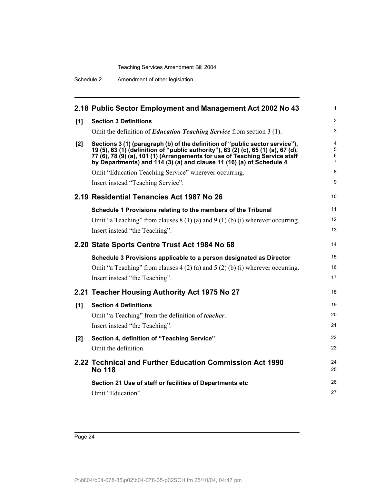Schedule 2 Amendment of other legislation

|                                               | 2.18 Public Sector Employment and Management Act 2002 No 43                                                                                                                                                                                                                                                            | 1                             |  |
|-----------------------------------------------|------------------------------------------------------------------------------------------------------------------------------------------------------------------------------------------------------------------------------------------------------------------------------------------------------------------------|-------------------------------|--|
| [1]                                           | <b>Section 3 Definitions</b>                                                                                                                                                                                                                                                                                           | $\overline{c}$                |  |
|                                               | Omit the definition of <i>Education Teaching Service</i> from section 3 (1).                                                                                                                                                                                                                                           | 3                             |  |
| [2]                                           | Sections 3 (1) (paragraph (b) of the definition of "public sector service"),<br>19 (5), 63 (1) (definition of "public authority"), 63 (2) (c), 65 (1) (a), 67 (d), 77 (6), 78 (9) (a), 101 (1) (Arrangements for use of Teaching Service staff<br>by Departments) and 114 (3) (a) and clause 11 (16) (a) of Schedule 4 | 4<br>5<br>6<br>$\overline{7}$ |  |
|                                               | Omit "Education Teaching Service" wherever occurring.                                                                                                                                                                                                                                                                  | 8                             |  |
|                                               | Insert instead "Teaching Service".                                                                                                                                                                                                                                                                                     | 9                             |  |
|                                               | 2.19 Residential Tenancies Act 1987 No 26                                                                                                                                                                                                                                                                              | 10                            |  |
|                                               | Schedule 1 Provisions relating to the members of the Tribunal                                                                                                                                                                                                                                                          | 11                            |  |
|                                               | Omit "a Teaching" from clauses $8(1)(a)$ and $9(1)(b)(i)$ wherever occurring.                                                                                                                                                                                                                                          | 12                            |  |
|                                               | Insert instead "the Teaching".                                                                                                                                                                                                                                                                                         | 13                            |  |
| 2.20 State Sports Centre Trust Act 1984 No 68 |                                                                                                                                                                                                                                                                                                                        |                               |  |
|                                               |                                                                                                                                                                                                                                                                                                                        |                               |  |
|                                               | Schedule 3 Provisions applicable to a person designated as Director                                                                                                                                                                                                                                                    | 15                            |  |
|                                               | Omit "a Teaching" from clauses $4(2)(a)$ and $5(2)(b)(i)$ wherever occurring.                                                                                                                                                                                                                                          | 16                            |  |
|                                               | Insert instead "the Teaching".                                                                                                                                                                                                                                                                                         | 17                            |  |
|                                               | 2.21 Teacher Housing Authority Act 1975 No 27                                                                                                                                                                                                                                                                          |                               |  |
| [1]                                           | <b>Section 4 Definitions</b>                                                                                                                                                                                                                                                                                           | 18<br>19                      |  |
|                                               | Omit "a Teaching" from the definition of <i>teacher</i> .                                                                                                                                                                                                                                                              | 20                            |  |
|                                               | Insert instead "the Teaching".                                                                                                                                                                                                                                                                                         | 21                            |  |
| [2]                                           | Section 4, definition of "Teaching Service"                                                                                                                                                                                                                                                                            | 22                            |  |
|                                               | Omit the definition.                                                                                                                                                                                                                                                                                                   | 23                            |  |
|                                               | 2.22 Technical and Further Education Commission Act 1990<br><b>No 118</b>                                                                                                                                                                                                                                              | 24<br>25                      |  |
|                                               | Section 21 Use of staff or facilities of Departments etc                                                                                                                                                                                                                                                               | 26                            |  |